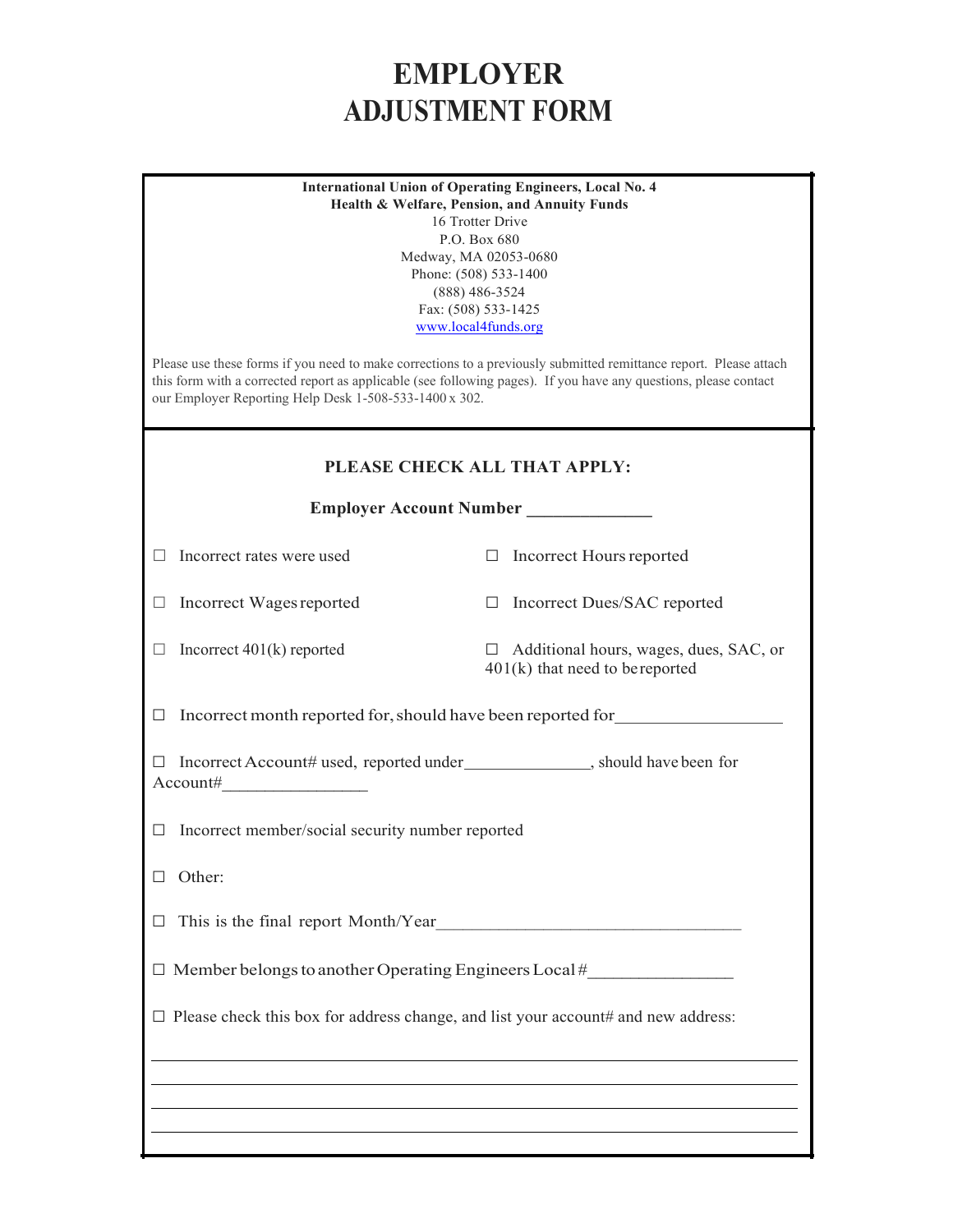## **EMPLOYER ADJUSTMENT FORM**

| <b>International Union of Operating Engineers, Local No. 4</b><br>Health & Welfare, Pension, and Annuity Funds<br>16 Trotter Drive<br>P.O. Box 680<br>Medway, MA 02053-0680<br>Phone: (508) 533-1400<br>$(888)$ 486-3524<br>Fax: (508) 533-1425<br>www.local4funds.org<br>Please use these forms if you need to make corrections to a previously submitted remittance report. Please attach<br>this form with a corrected report as applicable (see following pages). If you have any questions, please contact<br>our Employer Reporting Help Desk 1-508-533-1400 x 302. |                                                                                    |  |  |  |  |
|---------------------------------------------------------------------------------------------------------------------------------------------------------------------------------------------------------------------------------------------------------------------------------------------------------------------------------------------------------------------------------------------------------------------------------------------------------------------------------------------------------------------------------------------------------------------------|------------------------------------------------------------------------------------|--|--|--|--|
| PLEASE CHECK ALL THAT APPLY:                                                                                                                                                                                                                                                                                                                                                                                                                                                                                                                                              |                                                                                    |  |  |  |  |
| <b>Employer Account Number</b>                                                                                                                                                                                                                                                                                                                                                                                                                                                                                                                                            |                                                                                    |  |  |  |  |
| Incorrect rates were used                                                                                                                                                                                                                                                                                                                                                                                                                                                                                                                                                 | $\Box$ Incorrect Hours reported                                                    |  |  |  |  |
| Incorrect Wages reported                                                                                                                                                                                                                                                                                                                                                                                                                                                                                                                                                  | □ Incorrect Dues/SAC reported                                                      |  |  |  |  |
| Incorrect $401(k)$ reported                                                                                                                                                                                                                                                                                                                                                                                                                                                                                                                                               | $\Box$ Additional hours, wages, dues, SAC, or<br>$401(k)$ that need to be reported |  |  |  |  |
| Incorrect month reported for, should have been reported for                                                                                                                                                                                                                                                                                                                                                                                                                                                                                                               |                                                                                    |  |  |  |  |
| Incorrect Account# used, reported under _______________, should have been for<br>Account#                                                                                                                                                                                                                                                                                                                                                                                                                                                                                 |                                                                                    |  |  |  |  |
| Incorrect member/social security number reported<br>⊔                                                                                                                                                                                                                                                                                                                                                                                                                                                                                                                     |                                                                                    |  |  |  |  |
| Other:                                                                                                                                                                                                                                                                                                                                                                                                                                                                                                                                                                    |                                                                                    |  |  |  |  |
| This is the final report Month/Year                                                                                                                                                                                                                                                                                                                                                                                                                                                                                                                                       |                                                                                    |  |  |  |  |
| $\Box$ Member belongs to another Operating Engineers Local #                                                                                                                                                                                                                                                                                                                                                                                                                                                                                                              |                                                                                    |  |  |  |  |
| $\Box$ Please check this box for address change, and list your account# and new address:                                                                                                                                                                                                                                                                                                                                                                                                                                                                                  |                                                                                    |  |  |  |  |
|                                                                                                                                                                                                                                                                                                                                                                                                                                                                                                                                                                           |                                                                                    |  |  |  |  |
|                                                                                                                                                                                                                                                                                                                                                                                                                                                                                                                                                                           |                                                                                    |  |  |  |  |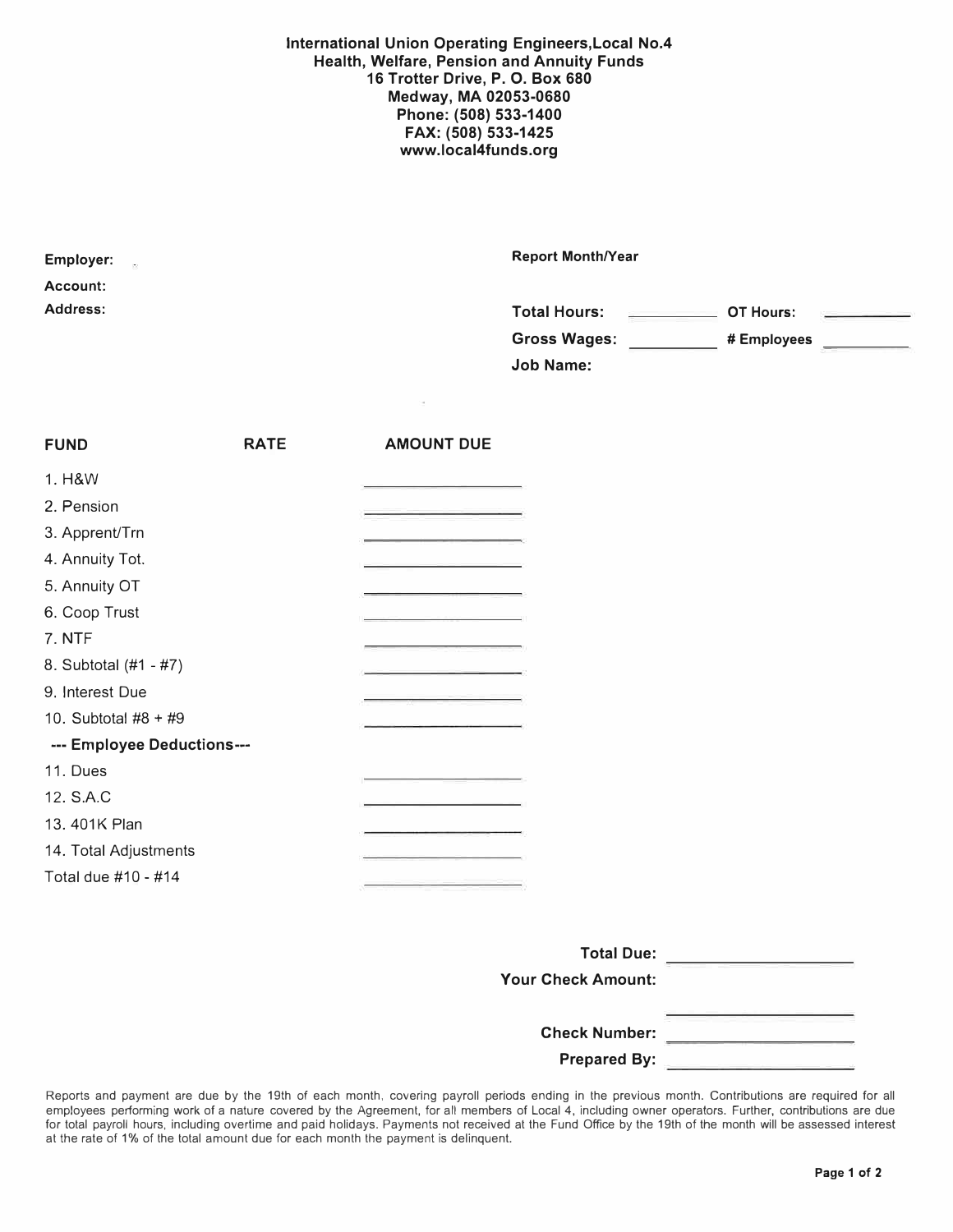**International Union Operating Engineers,Local No.4 Health, Welfare, Pension and Annuity Funds 16 Trotter Drive, P. 0. Box 680 Medway, MA 02053-0680 Phone: (508) 533-1400 FAX: (508) 533-1425 www.local4funds.org** 

| <b>Employer:</b><br>$\sim$ 00 | <b>Report Month/Year</b>                                           |
|-------------------------------|--------------------------------------------------------------------|
| <b>Account:</b>               |                                                                    |
| Address:                      | <b>Total Hours:</b><br>OT Hours:<br>and the company of the company |
|                               | <b>Gross Wages:</b><br># Employees                                 |
|                               | <b>Job Name:</b>                                                   |

| <b>FUND</b>                | <b>RATE</b> | <b>AMOUNT DUE</b> |
|----------------------------|-------------|-------------------|
| 1. H&W                     |             |                   |
| 2. Pension                 |             |                   |
| 3. Apprent/Trn             |             |                   |
| 4. Annuity Tot.            |             |                   |
| 5. Annuity OT              |             |                   |
| 6. Coop Trust              |             |                   |
| 7. NTF                     |             |                   |
| 8. Subtotal (#1 - #7)      |             |                   |
| 9. Interest Due            |             |                   |
| 10. Subtotal #8 + #9       |             |                   |
| --- Employee Deductions--- |             |                   |
| 11. Dues                   |             |                   |
| 12. S.A.C                  |             |                   |
| 13.401K Plan               |             |                   |
| 14. Total Adjustments      |             |                   |
| Total due #10 - #14        |             |                   |
|                            |             |                   |

| <b>Total Due:</b>                           |
|---------------------------------------------|
| <b>Your Check Amount:</b>                   |
| <b>Check Number:</b><br><b>Prepared By:</b> |

Reports and payment are due by the 19th of each month, covering payroll periods ending in the previous month. Contributions are required for all employees performing work of a nature covered by the Agreement, for all members of Local 4, including owner operators. Further, contributions are due for total payroll hours, including overtime and paid holidays. Payments not received at the Fund Office by the 19th of the month will be assessed interest at the rate of 1% of the total amount due for each month the payment is delinquent.